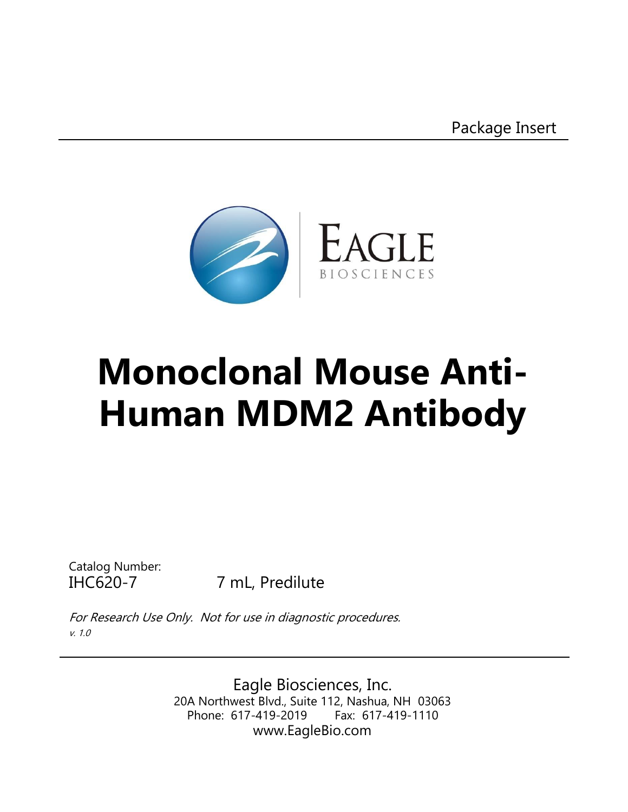Package Insert



# **Monoclonal Mouse Anti-Human MDM2 Antibody**

Catalog Number:

IHC620-7 7 mL, Predilute

For Research Use Only. Not for use in diagnostic procedures. v. 1.0

> Eagle Biosciences, Inc. 20A Northwest Blvd., Suite 112, Nashua, NH 03063 Phone: 617-419-2019 Fax: 617-419-1110 www.EagleBio.com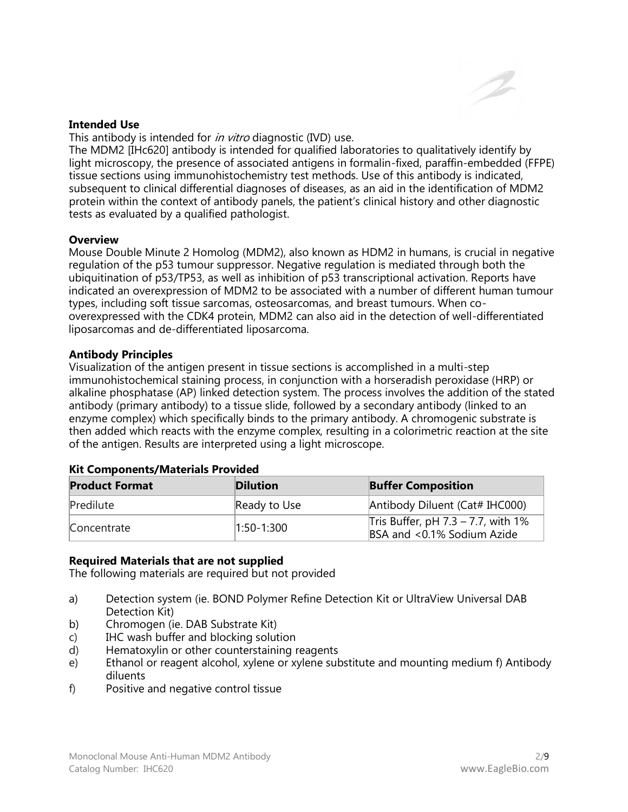#### **Intended Use**

This antibody is intended for *in vitro* diagnostic (IVD) use.

The MDM2 [IHc620] antibody is intended for qualified laboratories to qualitatively identify by light microscopy, the presence of associated antigens in formalin-fixed, paraffin-embedded (FFPE) tissue sections using immunohistochemistry test methods. Use of this antibody is indicated, subsequent to clinical differential diagnoses of diseases, as an aid in the identification of MDM2 protein within the context of antibody panels, the patient's clinical history and other diagnostic tests as evaluated by a qualified pathologist.

#### **Overview**

Mouse Double Minute 2 Homolog (MDM2), also known as HDM2 in humans, is crucial in negative regulation of the p53 tumour suppressor. Negative regulation is mediated through both the ubiquitination of p53/TP53, as well as inhibition of p53 transcriptional activation. Reports have indicated an overexpression of MDM2 to be associated with a number of different human tumour types, including soft tissue sarcomas, osteosarcomas, and breast tumours. When cooverexpressed with the CDK4 protein, MDM2 can also aid in the detection of well-differentiated liposarcomas and de-differentiated liposarcoma.

#### **Antibody Principles**

Visualization of the antigen present in tissue sections is accomplished in a multi-step immunohistochemical staining process, in conjunction with a horseradish peroxidase (HRP) or alkaline phosphatase (AP) linked detection system. The process involves the addition of the stated antibody (primary antibody) to a tissue slide, followed by a secondary antibody (linked to an enzyme complex) which specifically binds to the primary antibody. A chromogenic substrate is then added which reacts with the enzyme complex, resulting in a colorimetric reaction at the site of the antigen. Results are interpreted using a light microscope.

# **Kit Components/Materials Provided**

| <b>Product Format</b> | <b>Dilution</b> | <b>Buffer Composition</b>                                              |
|-----------------------|-----------------|------------------------------------------------------------------------|
| Predilute             | Ready to Use    | Antibody Diluent (Cat# IHC000)                                         |
| Concentrate           | $1:50-1:300$    | Tris Buffer, pH $7.3 - 7.7$ , with $1\%$<br>BSA and <0.1% Sodium Azide |

#### **Required Materials that are not supplied**

The following materials are required but not provided

- a) Detection system (ie. BOND Polymer Refine Detection Kit or UltraView Universal DAB Detection Kit)
- b) Chromogen (ie. DAB Substrate Kit)
- c) IHC wash buffer and blocking solution
- d) Hematoxylin or other counterstaining reagents
- e) Ethanol or reagent alcohol, xylene or xylene substitute and mounting medium f) Antibody diluents
- f) Positive and negative control tissue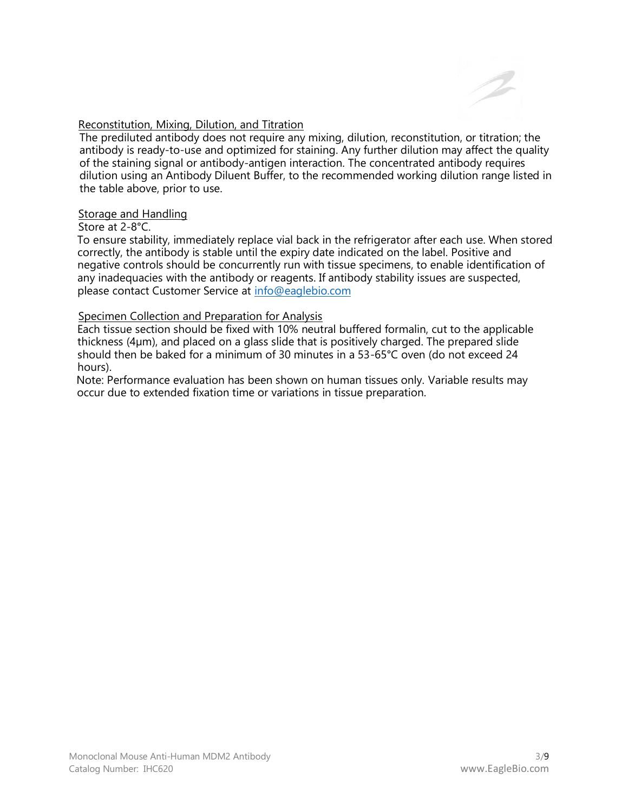# Reconstitution, Mixing, Dilution, and Titration

The prediluted antibody does not require any mixing, dilution, reconstitution, or titration; the antibody is ready-to-use and optimized for staining. Any further dilution may affect the quality of the staining signal or antibody-antigen interaction. The concentrated antibody requires dilution using an Antibody Diluent Buffer, to the recommended working dilution range listed in the table above, prior to use.

#### Storage and Handling

# Store at 2-8°C.

To ensure stability, immediately replace vial back in the refrigerator after each use. When stored correctly, the antibody is stable until the expiry date indicated on the label. Positive and negative controls should be concurrently run with tissue specimens, to enable identification of any inadequacies with the antibody or reagents. If antibody stability issues are suspected, please contact Customer Service at [info@eaglebio.com](mailto:info@eaglebio.com)

# Specimen Collection and Preparation for Analysis

Each tissue section should be fixed with 10% neutral buffered formalin, cut to the applicable thickness (4µm), and placed on a glass slide that is positively charged. The prepared slide should then be baked for a minimum of 30 minutes in a 53-65°C oven (do not exceed 24 hours).

Note: Performance evaluation has been shown on human tissues only. Variable results may occur due to extended fixation time or variations in tissue preparation.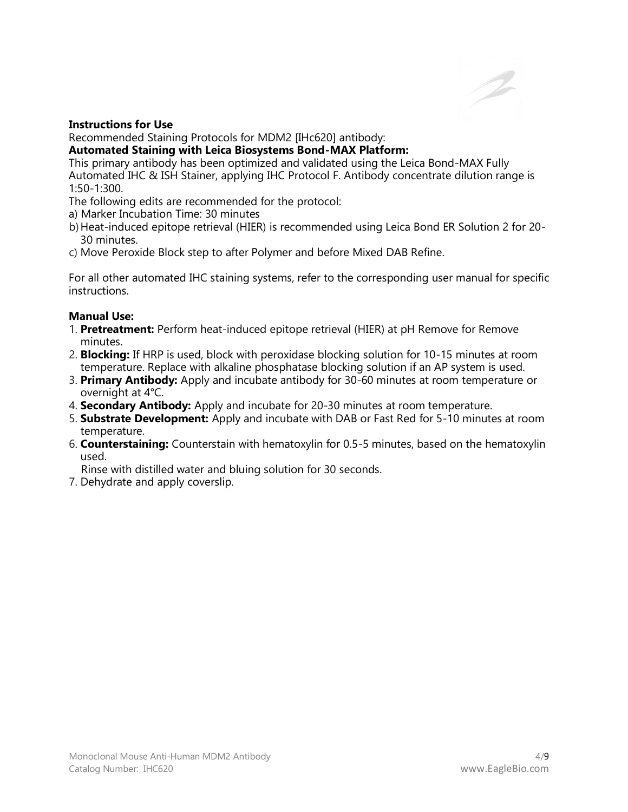# **Instructions for Use**

Recommended Staining Protocols for MDM2 [IHc620] antibody:

# **Automated Staining with Leica Biosystems Bond-MAX Platform:**

This primary antibody has been optimized and validated using the Leica Bond-MAX Fully Automated IHC & ISH Stainer, applying IHC Protocol F. Antibody concentrate dilution range is 1:50-1:300.

- The following edits are recommended for the protocol:
- a) Marker Incubation Time: 30 minutes
- b)Heat-induced epitope retrieval (HIER) is recommended using Leica Bond ER Solution 2 for 20- 30 minutes.
- c) Move Peroxide Block step to after Polymer and before Mixed DAB Refine.

For all other automated IHC staining systems, refer to the corresponding user manual for specific instructions.

# **Manual Use:**

- 1. **Pretreatment:** Perform heat-induced epitope retrieval (HIER) at pH Remove for Remove minutes.
- 2. **Blocking:** If HRP is used, block with peroxidase blocking solution for 10-15 minutes at room temperature. Replace with alkaline phosphatase blocking solution if an AP system is used.
- 3. **Primary Antibody:** Apply and incubate antibody for 30-60 minutes at room temperature or overnight at 4°C.
- 4. **Secondary Antibody:** Apply and incubate for 20-30 minutes at room temperature.
- 5. **Substrate Development:** Apply and incubate with DAB or Fast Red for 5-10 minutes at room temperature.
- 6. **Counterstaining:** Counterstain with hematoxylin for 0.5-5 minutes, based on the hematoxylin used.

Rinse with distilled water and bluing solution for 30 seconds.

7. Dehydrate and apply coverslip.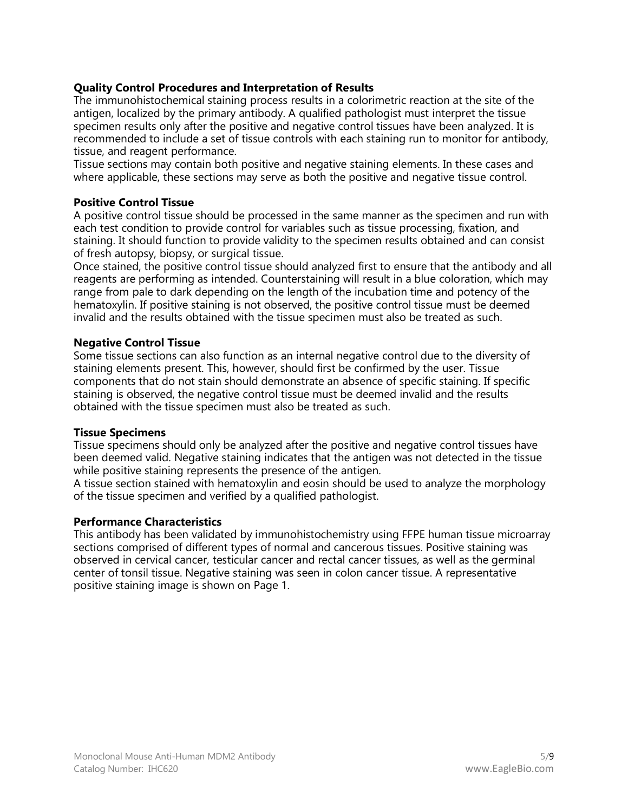# **Quality Control Procedures and Interpretation of Results**

The immunohistochemical staining process results in a colorimetric reaction at the site of the antigen, localized by the primary antibody. A qualified pathologist must interpret the tissue specimen results only after the positive and negative control tissues have been analyzed. It is recommended to include a set of tissue controls with each staining run to monitor for antibody, tissue, and reagent performance.

Tissue sections may contain both positive and negative staining elements. In these cases and where applicable, these sections may serve as both the positive and negative tissue control.

#### **Positive Control Tissue**

A positive control tissue should be processed in the same manner as the specimen and run with each test condition to provide control for variables such as tissue processing, fixation, and staining. It should function to provide validity to the specimen results obtained and can consist of fresh autopsy, biopsy, or surgical tissue.

Once stained, the positive control tissue should analyzed first to ensure that the antibody and all reagents are performing as intended. Counterstaining will result in a blue coloration, which may range from pale to dark depending on the length of the incubation time and potency of the hematoxylin. If positive staining is not observed, the positive control tissue must be deemed invalid and the results obtained with the tissue specimen must also be treated as such.

#### **Negative Control Tissue**

Some tissue sections can also function as an internal negative control due to the diversity of staining elements present. This, however, should first be confirmed by the user. Tissue components that do not stain should demonstrate an absence of specific staining. If specific staining is observed, the negative control tissue must be deemed invalid and the results obtained with the tissue specimen must also be treated as such.

#### **Tissue Specimens**

Tissue specimens should only be analyzed after the positive and negative control tissues have been deemed valid. Negative staining indicates that the antigen was not detected in the tissue while positive staining represents the presence of the antigen.

A tissue section stained with hematoxylin and eosin should be used to analyze the morphology of the tissue specimen and verified by a qualified pathologist.

# **Performance Characteristics**

This antibody has been validated by immunohistochemistry using FFPE human tissue microarray sections comprised of different types of normal and cancerous tissues. Positive staining was observed in cervical cancer, testicular cancer and rectal cancer tissues, as well as the germinal center of tonsil tissue. Negative staining was seen in colon cancer tissue. A representative positive staining image is shown on Page 1.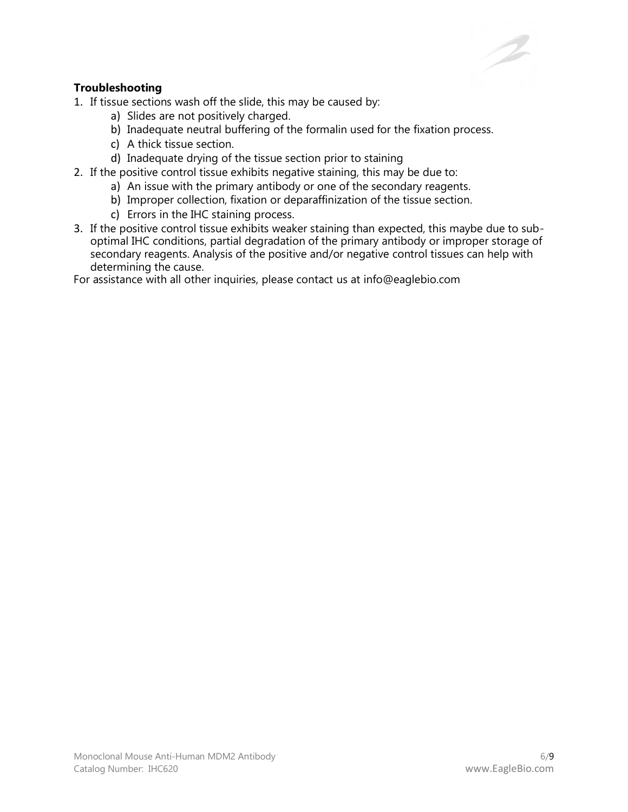# **Troubleshooting**

1. If tissue sections wash off the slide, this may be caused by:

- a) Slides are not positively charged.
- b) Inadequate neutral buffering of the formalin used for the fixation process.
- c) A thick tissue section.
- d) Inadequate drying of the tissue section prior to staining
- 2. If the positive control tissue exhibits negative staining, this may be due to:
	- a) An issue with the primary antibody or one of the secondary reagents.
	- b) Improper collection, fixation or deparaffinization of the tissue section.
	- c) Errors in the IHC staining process.
- 3. If the positive control tissue exhibits weaker staining than expected, this maybe due to suboptimal IHC conditions, partial degradation of the primary antibody or improper storage of secondary reagents. Analysis of the positive and/or negative control tissues can help with determining the cause.

For assistance with all other inquiries, please contact us at info@eaglebio.com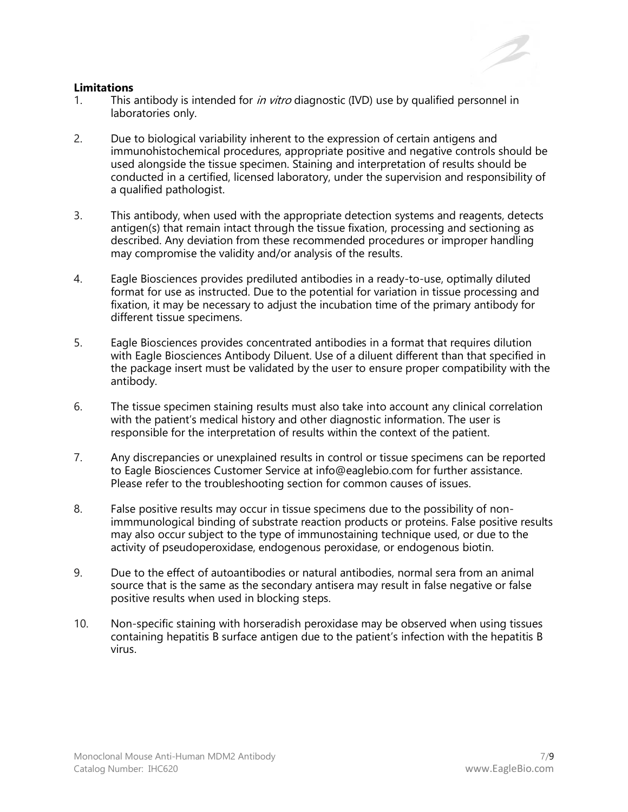#### **Limitations**

- 1. This antibody is intended for *in vitro* diagnostic (IVD) use by qualified personnel in laboratories only.
- 2. Due to biological variability inherent to the expression of certain antigens and immunohistochemical procedures, appropriate positive and negative controls should be used alongside the tissue specimen. Staining and interpretation of results should be conducted in a certified, licensed laboratory, under the supervision and responsibility of a qualified pathologist.
- 3. This antibody, when used with the appropriate detection systems and reagents, detects antigen(s) that remain intact through the tissue fixation, processing and sectioning as described. Any deviation from these recommended procedures or improper handling may compromise the validity and/or analysis of the results.
- 4. Eagle Biosciences provides prediluted antibodies in a ready-to-use, optimally diluted format for use as instructed. Due to the potential for variation in tissue processing and fixation, it may be necessary to adjust the incubation time of the primary antibody for different tissue specimens.
- 5. Eagle Biosciences provides concentrated antibodies in a format that requires dilution with Eagle Biosciences Antibody Diluent. Use of a diluent different than that specified in the package insert must be validated by the user to ensure proper compatibility with the antibody.
- 6. The tissue specimen staining results must also take into account any clinical correlation with the patient's medical history and other diagnostic information. The user is responsible for the interpretation of results within the context of the patient.
- 7. Any discrepancies or unexplained results in control or tissue specimens can be reported to Eagle Biosciences Customer Service at info@eaglebio.com for further assistance. Please refer to the troubleshooting section for common causes of issues.
- 8. False positive results may occur in tissue specimens due to the possibility of nonimmmunological binding of substrate reaction products or proteins. False positive results may also occur subject to the type of immunostaining technique used, or due to the activity of pseudoperoxidase, endogenous peroxidase, or endogenous biotin.
- 9. Due to the effect of autoantibodies or natural antibodies, normal sera from an animal source that is the same as the secondary antisera may result in false negative or false positive results when used in blocking steps.
- 10. Non-specific staining with horseradish peroxidase may be observed when using tissues containing hepatitis B surface antigen due to the patient's infection with the hepatitis B virus.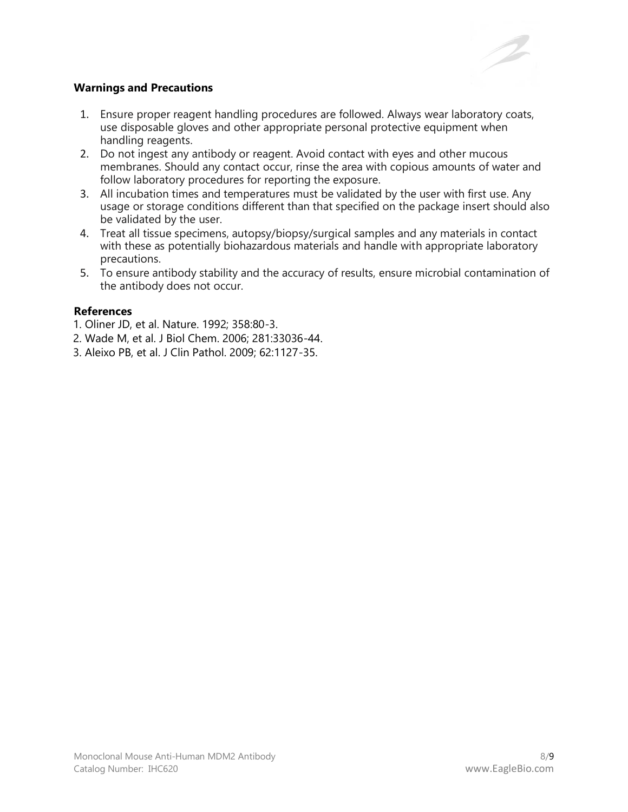

# **Warnings and Precautions**

- 1. Ensure proper reagent handling procedures are followed. Always wear laboratory coats, use disposable gloves and other appropriate personal protective equipment when handling reagents.
- 2. Do not ingest any antibody or reagent. Avoid contact with eyes and other mucous membranes. Should any contact occur, rinse the area with copious amounts of water and follow laboratory procedures for reporting the exposure.
- 3. All incubation times and temperatures must be validated by the user with first use. Any usage or storage conditions different than that specified on the package insert should also be validated by the user.
- 4. Treat all tissue specimens, autopsy/biopsy/surgical samples and any materials in contact with these as potentially biohazardous materials and handle with appropriate laboratory precautions.
- 5. To ensure antibody stability and the accuracy of results, ensure microbial contamination of the antibody does not occur.

# **References**

- 1. Oliner JD, et al. Nature. 1992; 358:80-3.
- 2. Wade M, et al. J Biol Chem. 2006; 281:33036-44.
- 3. Aleixo PB, et al. J Clin Pathol. 2009; 62:1127-35.